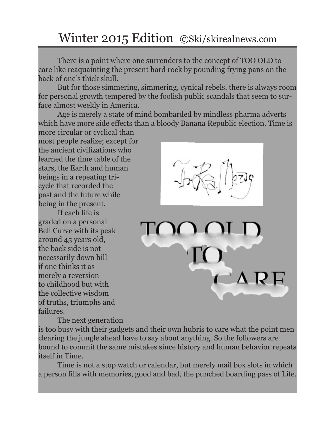## Winter 2015 Edition ©Ski/skirealnews.com

There is a point where one surrenders to the concept of TOO OLD to care like reaquainting the present hard rock by pounding frying pans on the back of one's thick skull.

But for those simmering, simmering, cynical rebels, there is always room for personal growth tempered by the foolish public scandals that seem to surface almost weekly in America.

Age is merely a state of mind bombarded by mindless pharma adverts which have more side effects than a bloody Banana Republic election. Time is

more circular or cyclical than most people realize; except for the ancient civilizations who learned the time table of the stars, the Earth and human beings in a repeating tricycle that recorded the past and the future while being in the present.

If each life is graded on a personal Bell Curve with its peak around 45 years old, the back side is not necessarily down hill if one thinks it as merely a reversion to childhood but with the collective wisdom of truths, triumphs and failures.



The next generation

is too busy with their gadgets and their own hubris to care what the point men clearing the jungle ahead have to say about anything. So the followers are bound to commit the same mistakes since history and human behavior repeats itself in Time.

Time is not a stop watch or calendar, but merely mail box slots in which a person fills with memories, good and bad, the punched boarding pass of Life.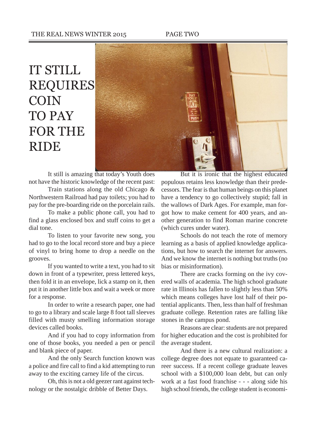### THE REAL NEWS WINTER 2015 PAGE TWO

# IT STILL REQUIRES COIN TO PAY FOR THE RIDE



It still is amazing that today's Youth does not have the historic knowledge of the recent past:

Train stations along the old Chicago & Northwestern Railroad had pay toilets; you had to pay for the pre-boarding ride on the porcelain rails.

To make a public phone call, you had to find a glass enclosed box and stuff coins to get a dial tone.

To listen to your favorite new song, you had to go to the local record store and buy a piece of vinyl to bring home to drop a needle on the grooves.

If you wanted to write a text, you had to sit down in front of a typewriter, press lettered keys, then fold it in an envelope, lick a stamp on it, then put it in another little box and wait a week or more for a response.

In order to write a research paper, one had to go to a library and scale large 8 foot tall sleeves filled with musty smelling information storage devices called books.

And if you had to copy information from one of those books, you needed a pen or pencil and blank piece of paper.

And the only Search function known was a police and fire call to find a kid attempting to run away to the exciting carney life of the circus.

Oh, this is not a old geezer rant against technology or the nostalgic dribble of Better Days.

But it is ironic that the highest educated populous retains less knowledge than their predecessors. The fear is that human beings on this planet have a tendency to go collectively stupid; fall in the wallows of Dark Ages. For example, man forgot how to make cement for 400 years, and another generation to find Roman marine concrete (which cures under water).

Schools do not teach the rote of memory learning as a basis of applied knowledge applications, but how to search the internet for answers. And we know the internet is nothing but truths (no bias or misinformation).

There are cracks forming on the ivy covered walls of academia. The high school graduate rate in Illinois has fallen to slightly less than 50% which means colleges have lost half of their potential applicants. Then, less than half of freshman graduate college. Retention rates are falling like stones in the campus pond.

Reasons are clear: students are not prepared for higher education and the cost is prohibited for the average student.

And there is a new cultural realization: a college degree does not equate to guaranteed career success. If a recent college graduate leaves school with a \$100,000 loan debt, but can only work at a fast food franchise - - - along side his high school friends, the college student is economi-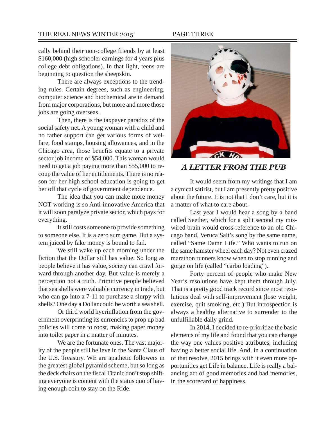### THE REAL NEWS WINTER 2015 PAGE THREE

cally behind their non-college friends by at least \$160,000 (high schooler earnings for 4 years plus college debt obligations). In that light, teens are beginning to question the sheepskin.

There are always exceptions to the trending rules. Certain degrees, such as engineering, computer science and biochemical are in demand from major corporations, but more and more those jobs are going overseas.

Then, there is the taxpayer paradox of the social safety net. A young woman with a child and no father support can get various forms of welfare, food stamps, housing allowances, and in the Chicago area, those benefits equate to a private sector job income of \$54,000. This woman would need to get a job paying more than \$55,000 to recoup the value of her entitlements. There is no reason for her high school education is going to get her off that cycle of government dependence.

The idea that you can make more money NOT working is so Anti-innovative America that it will soon paralyze private sector, which pays for everything.

It still costs someone to provide something to someone else. It is a zero sum game. But a system juiced by fake money is bound to fail.

We still wake up each morning under the fiction that the Dollar still has value. So long as people believe it has value, society can crawl forward through another day. But value is merely a perception not a truth. Primitive people believed that sea shells were valuable currency in trade, but who can go into a 7-11 to purchase a slurpy with shells? One day a Dollar could be worth a sea shell.

Or third world hyerinflation from the government overprinting its currencies to prop up bad policies will come to roost, making paper money into toilet paper in a matter of minutes.

We are the fortunate ones. The vast majority of the people still believe in the Santa Claus of the U.S. Treasury. WE are apathetic followers in the greatest global pyramid scheme, but so long as the deck chairs on the fiscal Titanic don't stop shifting everyone is content with the status quo of having enough coin to stay on the Ride.



### *A LETTER FROM THE PUB*

It would seem from my writings that I am a cynical satirist, but I am presently pretty positive about the future. It is not that I don't care, but it is a matter of what to care about.

Last year I would hear a song by a band called Seether, which for a split second my miswired brain would cross-reference to an old Chicago band, Veruca Salt's song by the same name, called "Same Damn Life." Who wants to run on the same hamster wheel each day? Not even crazed marathon runners know when to stop running and gorge on life (called "carbo loading").

Forty percent of people who make New Year's resolutions have kept them through July. That is a pretty good track record since most resolutions deal with self-improvement (lose weight, exercise, quit smoking, etc.) But introspection is always a healthy alternative to surrender to the unfulfillable daily grind.

In 2014, I decided to re-prioritize the basic elements of my life and found that you can change the way one values positive attributes, including having a better social life. And, in a continuation of that resolve, 2015 brings with it even more opportunities get Life in balance. Life is really a balancing act of good memories and bad memories, in the scorecard of happiness.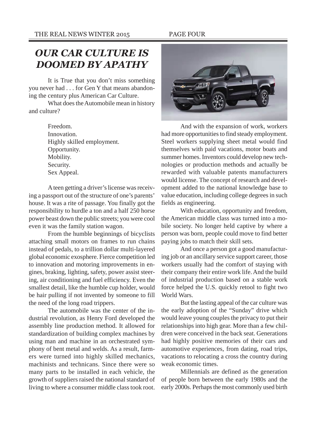## *OUR CAR CULTURE IS DOOMED BY APATHY*

It is True that you don't miss something you never had . . . for Gen Y that means abandoning the century plus American Car Culture.

What does the Automobile mean in history and culture?

> Freedom. Innovation. Highly skilled employment. Opportunity. Mobility. Security. Sex Appeal.

A teen getting a driver's license was receiving a passport out of the structure of one's parents' house. It was a rite of passage. You finally got the responsibility to hurdle a ton and a half 250 horse power beast down the public streets; you were cool even it was the family station wagon.

From the humble beginnings of bicyclists attaching small motors on frames to run chains instead of pedals, to a trillion dollar multi-layered global economic exosphere. Fierce competition led to innovation and motoring improvements in engines, braking, lighting, safety, power assist steering, air conditioning and fuel efficiency. Even the smallest detail, like the humble cup holder, would be hair pulling if not invented by someone to fill the need of the long road trippers.

The automobile was the center of the industrial revolution, as Henry Ford developed the assembly line production method. It allowed for standardization of building complex machines by using man and machine in an orchestrated symphony of bent metal and welds. As a result, farmers were turned into highly skilled mechanics, machinists and technicans. Since there were so many parts to be installed in each vehicle, the growth of suppliers raised the national standard of living to where a consumer middle class took root.



And with the expansion of work, workers had more opportunities to find steady employment. Steel workers supplying sheet metal would find themselves with paid vacations, motor boats and summer homes. Inventors could develop new technologies or production methods and actually be rewarded with valuable patents manufacturers would license. The concept of research and development added to the national knowledge base to value education, including college degrees in such fields as engineering.

With education, opportunity and freedom, the American middle class was turned into a mobile society. No longer held captive by where a person was born, people could move to find better paying jobs to match their skill sets.

And once a person got a good manufacturing job or an ancillary service support career, those workers usually had the comfort of staying with their company their entire work life. And the build of industrial production based on a stable work force helped the U.S. quickly retool to fight two World Wars.

But the lasting appeal of the car culture was the early adoption of the "Sunday" drive which would leave young couples the privacy to put their relationships into high gear. More than a few children were conceived in the back seat. Generations had highly positive memories of their cars and automotive experiences, from dating, road trips, vacations to relocating a cross the country during weak economic times.

Millennials are defined as the generation of people born between the early 1980s and the early 2000s. Perhaps the most commonly used birth